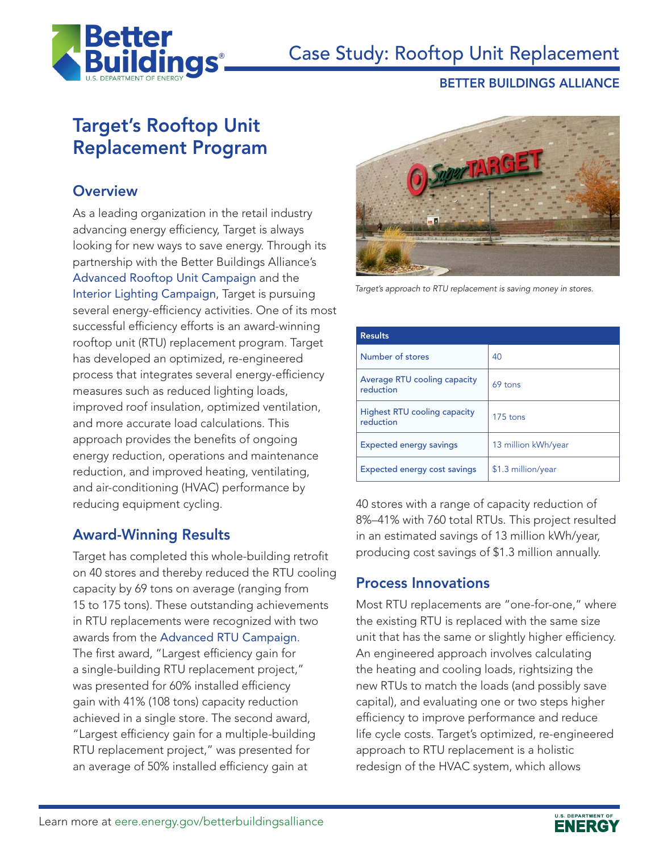

# Case Study: Rooftop Unit Replacement

#### BETTER BUILDINGS ALLIANCE

## Target's Rooftop Unit Replacement Program

#### **Overview**

As a leading organization in the retail industry advancing energy efficiency, Target is always looking for new ways to save energy. Through its partnership with the Better Buildings Alliance's [Advanced Rooftop Unit Campaign](http://www.advancedrtu.org) and the [Interior Lighting Campaign](http://www.interiorlightingcampaign.org/), Target is pursuing several energy-efficiency activities. One of its most successful efficiency efforts is an award-winning rooftop unit (RTU) replacement program. Target has developed an optimized, re-engineered process that integrates several energy-efficiency measures such as reduced lighting loads, improved roof insulation, optimized ventilation, and more accurate load calculations. This approach provides the benefits of ongoing energy reduction, operations and maintenance reduction, and improved heating, ventilating, and air-conditioning (HVAC) performance by reducing equipment cycling.

### Award-Winning Results

Target has completed this whole-building retrofit on 40 stores and thereby reduced the RTU cooling capacity by 69 tons on average (ranging from 15 to 175 tons). These outstanding achievements in RTU replacements were recognized with two awards from the [Advanced RTU Campaign](http://www.advancedrtu.org). The first award, "Largest efficiency gain for a single-building RTU replacement project," was presented for 60% installed efficiency gain with 41% (108 tons) capacity reduction achieved in a single store. The second award, "Largest efficiency gain for a multiple-building RTU replacement project," was presented for an average of 50% installed efficiency gain at



*Target's approach to RTU replacement is saving money in stores.* 

| <b>Results</b>                            |                     |
|-------------------------------------------|---------------------|
| Number of stores                          | 40                  |
| Average RTU cooling capacity<br>reduction | 69 tons             |
| Highest RTU cooling capacity<br>reduction | 175 tons            |
| <b>Expected energy savings</b>            | 13 million kWh/year |
| <b>Expected energy cost savings</b>       | \$1.3 million/year  |

40 stores with a range of capacity reduction of 8%–41% with 760 total RTUs. This project resulted in an estimated savings of 13 million kWh/year, producing cost savings of \$1.3 million annually.

### Process Innovations

Most RTU replacements are "one-for-one," where the existing RTU is replaced with the same size unit that has the same or slightly higher efficiency. An engineered approach involves calculating the heating and cooling loads, rightsizing the new RTUs to match the loads (and possibly save capital), and evaluating one or two steps higher efficiency to improve performance and reduce life cycle costs. Target's optimized, re-engineered approach to RTU replacement is a holistic redesign of the HVAC system, which allows